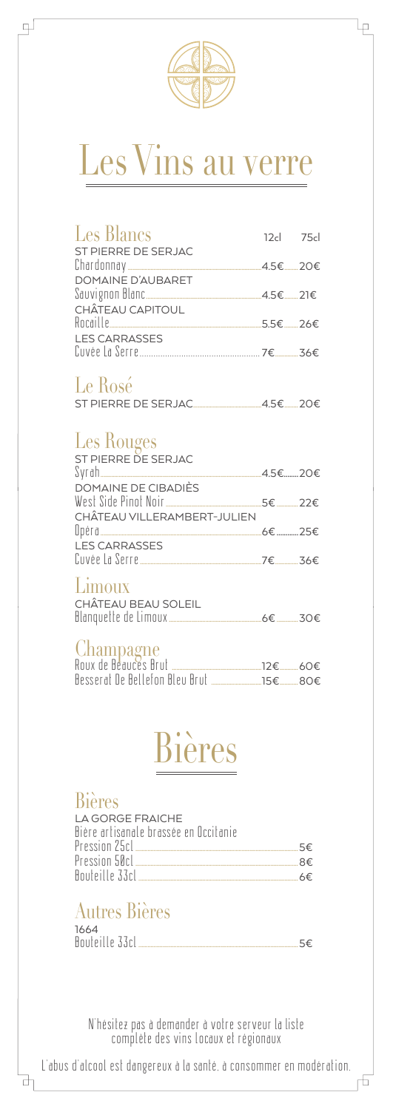

lρ

gJ

### Les Vins au verre

| Les Blancs<br>ST PIERRE DE SERJAC                   | 12cl 75cl |  |
|-----------------------------------------------------|-----------|--|
|                                                     |           |  |
| DOMAINE D'AUBARET<br>CHÂTEAU CAPITOUL               |           |  |
|                                                     |           |  |
| <b>LES CARRASSES</b>                                |           |  |
| Le Rosé<br>ST PIERRE DE SERJAC 4.5€ 20€             |           |  |
| Les Rouges<br>ST PIERRE DE SERJAC                   |           |  |
|                                                     |           |  |
|                                                     |           |  |
| CHÂTEAU VILLERAMBERT-JULIEN<br><b>LES CARRASSES</b> |           |  |
|                                                     |           |  |
| Limoux<br>CHÂTEAU BEAU SOLEIL                       |           |  |
| Champagne                                           |           |  |

| ∪HUHHVU⊆HU                     |            |
|--------------------------------|------------|
| Roux de Beauces Brut           | .12€ — 60€ |
| Besserat De Bellefon Bleu Brut | .15€ — 80€ |

### Bières Ī

#### Bières

Ъ

| I A GORGF FRAICHF                     |     |
|---------------------------------------|-----|
| Bière artisanale brassée en Occitanie |     |
|                                       | 5€  |
|                                       | R€  |
| Bouteille 33cL.                       | 6€. |

### Autres Bières

| 1664           |  |
|----------------|--|
| Bouteille 33cl |  |

N'hésitez pas à demander à votre serveur la liste complète des vins locaux et régionaux

L'abus d'alcool est dangereux à la santé, à consommer en modération.

舌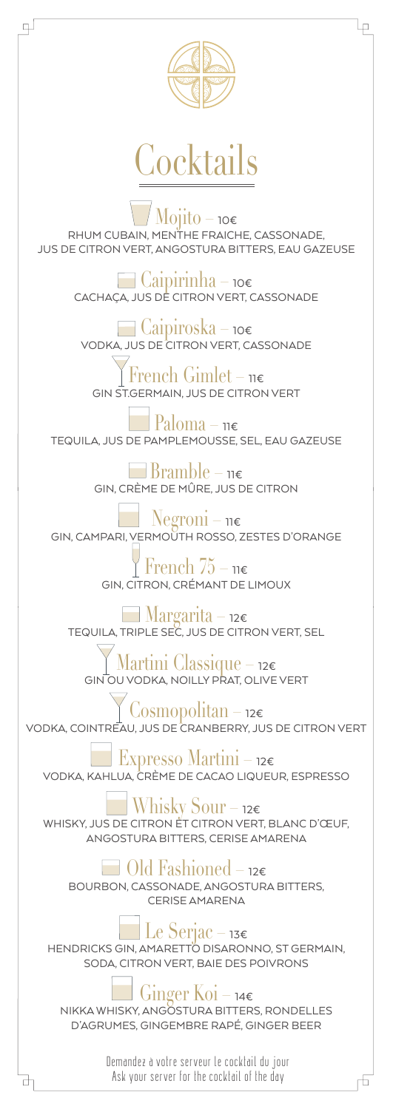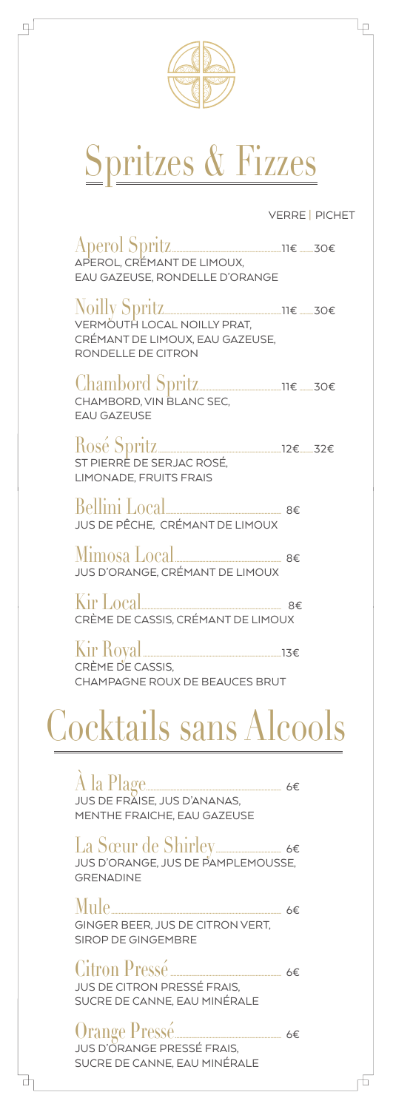

g)

₫

# Spritzes & Fizzes

VERRE | PICHET

ιę

F

| APEROL, CRÉMANT DE LIMOUX.<br>EAU GAZEUSE, RONDELLE D'ORANGE                                                         |  |
|----------------------------------------------------------------------------------------------------------------------|--|
| Noilly Spritz <sub>200</sub><br>VERMÖUTH LOCAL NOILLY PRAT,<br>CRÉMANT DE LIMOUX, EAU GAZEUSE,<br>RONDELLE DE CITRON |  |
| Chambord Spritz <sub>11€</sub> 30€<br>CHAMBORD, VIN BLANC SEC.<br><b>EAU GAZEUSE</b>                                 |  |
| ST PIERRE DE SERJAC ROSÉ.<br><b>LIMONADE, FRUITS FRAIS</b>                                                           |  |
| Bellini Local<br>JUS DE PÊCHE, CRÉMANT DE LIMOUX                                                                     |  |
| JUS D'ORANGE, CRÉMANT DE LIMOUX                                                                                      |  |
| Kir Local ________________________ 8€<br>CRÈME DE CASSIS, CRÉMANT DE LIMOUX                                          |  |
| CRÈME DE CASSIS.<br>CHAMPAGNE ROUX DE BEAUCES BRUT                                                                   |  |
| <b>Cocktails sans Alcools</b>                                                                                        |  |
| À la Plage________________________ 6€<br>jus de fraise, jus d'ananas,<br>MENTHE FRAICHE, EAU GAZEUSE                 |  |
| La Sœur de Shirley————— 6€<br>JUS D'ORANGE, JUS DE PAMPLEMOUSSE.<br><b>GRENADINE</b>                                 |  |
| Mule.<br>GINGER BEER, JUS DE CITRON VERT,<br><b>SIROP DE GINGEMBRE</b>                                               |  |
| Citron Pressé <u>_________________</u> 6€<br>JUS DE CITRON PRESSÉ FRAIS.<br>SUCRE DE CANNE, EAU MINÉRALE             |  |
| Orange Pressé<br>jus d'orange pressé frais,<br>SUCRE DE CANNE, EAU MINÉRALE                                          |  |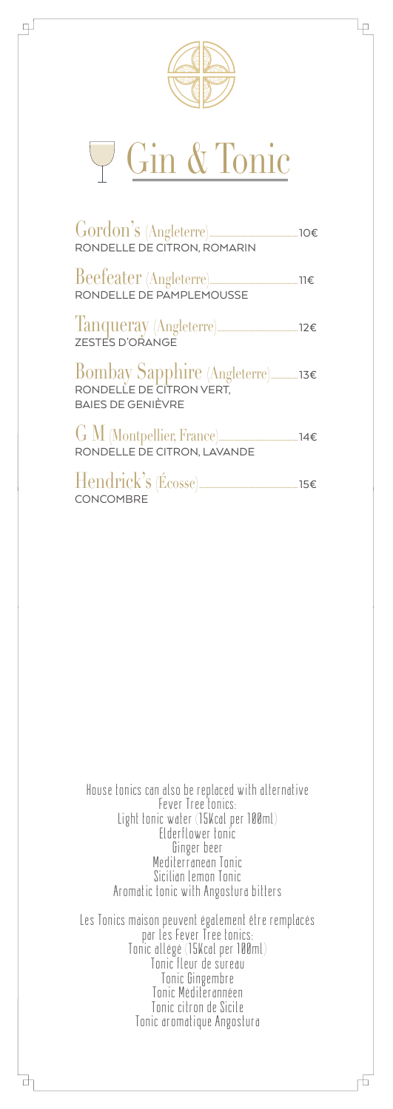

⋥

lρ

## Gin & Tonic

| $Gordon's$ (Angleterre) $\qquad \qquad 106$<br>RONDELLE DE CITRON, ROMARIN |  |
|----------------------------------------------------------------------------|--|
| RONDELLE DE PAMPLEMOUSSE                                                   |  |
| Tanqueray (Angleterre)<br>zESTES D'ORANGE                                  |  |
| <b>BAIES DE GENIÈVRE</b>                                                   |  |
| $G M$ (Montpellier, France) 14€<br>RONDELLE DE CITRON, LAVANDE             |  |
| CONCOMBRE                                                                  |  |

House tonics can also be replaced with alternative Fever Tree tonics: Light tonic water (15Kcal per 100ml) Elderflower tonic Ginger beer Mediterranean Tonic Sicilian lemon Tonic Aromatic tonic with Angostura bitters Les Tonics maison peuvent également être remplacés

par les Fever Tree tonics: Tonic allégé (15Kcal per 100ml) Tonic fleur de sureau Tonic Gingembre Tonic Méditerannéen Tonic citron de Sicile Tonic aromatique Angostura

₫

币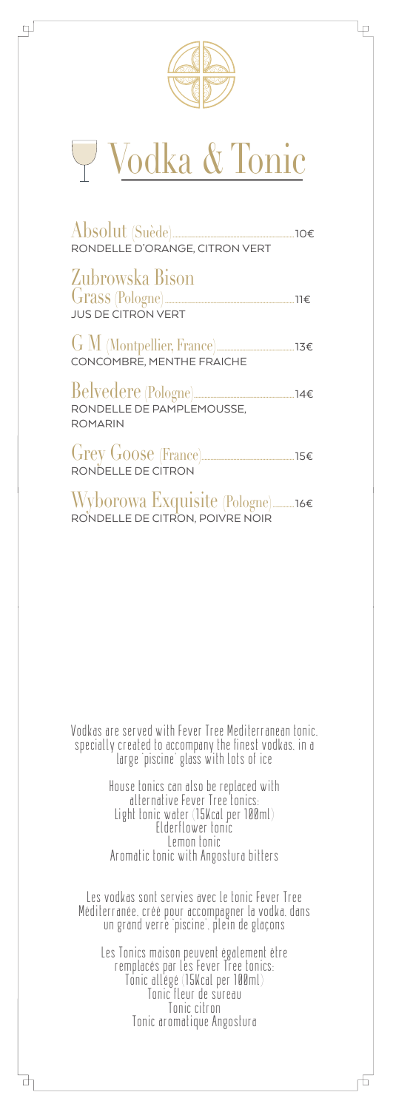

4

## Vodka & Tonic

| $\overline{\text{Absolute (Suède)} \quad \text{no-} \quad \text{no-} \quad \text{no-} \quad \text{no-} \quad \text{no-} \quad \text{no-} \quad \text{no-} \quad \text{no-} \quad \text{no-} \quad \text{no-} \quad \text{no-} \quad \text{no-} \quad \text{no-} \quad \text{no-} \quad \text{no-} \quad \text{no-} \quad \text{no-} \quad \text{no-} \quad \text{no-} \quad \text{no-} \quad \text{no-} \quad \text{no-} \quad \text{no-} \quad \text{no-} \quad \text{no-} \quad \text{no-$<br>RONDELLE D'ORANGE, CITRON VERT |  |
|--------------------------------------------------------------------------------------------------------------------------------------------------------------------------------------------------------------------------------------------------------------------------------------------------------------------------------------------------------------------------------------------------------------------------------------------------------------------------------------------------------------------------------|--|
| Zubrowska Bison<br><b>JUS DE CITRON VERT</b>                                                                                                                                                                                                                                                                                                                                                                                                                                                                                   |  |
|                                                                                                                                                                                                                                                                                                                                                                                                                                                                                                                                |  |
| RONDELLE DE PAMPLEMOUSSE,                                                                                                                                                                                                                                                                                                                                                                                                                                                                                                      |  |

ROMARIN

 $\overline{\mathbb{P}}$ 

Grey Goose (France).............................................................15€ RONDELLE DE CITRON

Wyborowa Exquisite (Pologne)..............16€ RONDELLE DE CITRON, POIVRE NOIR

Vodkas are served with Fever Tree Mediterranean tonic, specially created to accompany the finest vodkas, in a large 'piscine' glass with lots of ice

> House tonics can also be replaced with alternative Fever Tree tonics: Light tonic water (15Kcal per 100ml) Elderflower tonic Lemon tonic Aromatic tonic with Angostura bitters

Les vodkas sont servies avec le tonic Fever Tree Méditerranée, créé pour accompagner la vodka, dans un grand verre 'piscine', plein de glaçons

Les Tonics maison peuvent également être remplacés par les Fever Tree tonics: Tonic allégé (15Kcal per 100ml) Tonic fleur de sureau Tonic citron Tonic aromatique Angostura

6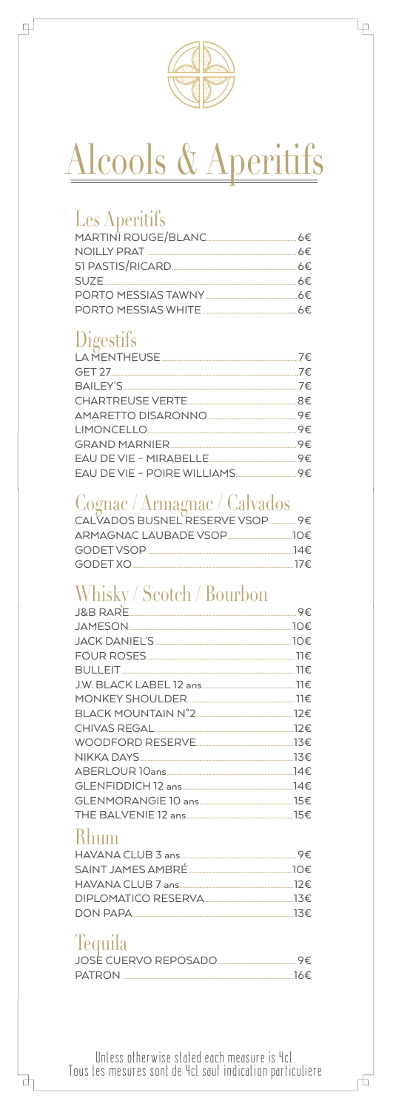

lρ

### Alcools & Aperitifs

#### **Les Aperitifs**

 $\mathbb{L}$ 

| NOILLY PRAT         | 6€. |
|---------------------|-----|
|                     |     |
| $SUZE$ 6€           |     |
| PORTO MESSIAS TAWNY | 6€. |
| PORTO MESSIAS WHITE | 6€. |

#### Digestifs

| LA MENTHEUSE                |  |
|-----------------------------|--|
|                             |  |
|                             |  |
|                             |  |
|                             |  |
|                             |  |
|                             |  |
|                             |  |
| EAU DE VIE – POIRE WILLIAMS |  |

#### Cognac / Armagnac / Calvados

| CALVADOS BUSNEL RESERVE VSOP _______ 9€                                                                       |     |
|---------------------------------------------------------------------------------------------------------------|-----|
|                                                                                                               |     |
| GODET VSOP FOR THE STATE OF THE STATE OF THE STATE OF THE STATE OF THE STATE OF THE STATE OF THE STATE OF THE | 14€ |
| GODET XO                                                                                                      | 17€ |

#### Whisky / Scotch / Bourbon

|                               | 10€ |
|-------------------------------|-----|
|                               |     |
|                               |     |
|                               |     |
|                               |     |
|                               |     |
|                               |     |
| CHIVAS REGAL 22€              |     |
| WOODFORD RESERVE              |     |
| NIKKA DAYS <sub>200</sub> 23€ |     |
| ABERLOUR 10ans                | 14€ |
|                               |     |
|                               |     |
|                               |     |
|                               |     |

#### **Rhum**

| 9€                                |
|-----------------------------------|
|                                   |
|                                   |
|                                   |
| DIPLOMATICO RESERVA 2000 2000 23€ |
| $DOM$ $PAPA$ $13€$                |

#### Tequila

₫

| JOSE CUERVO REPOSADO. |     |
|-----------------------|-----|
| <b>PATRON</b>         | 16€ |

Unless otherwise stated each measure is 4cl.<br>Tous les mesures sont de 4cl sauf indication particulière

市